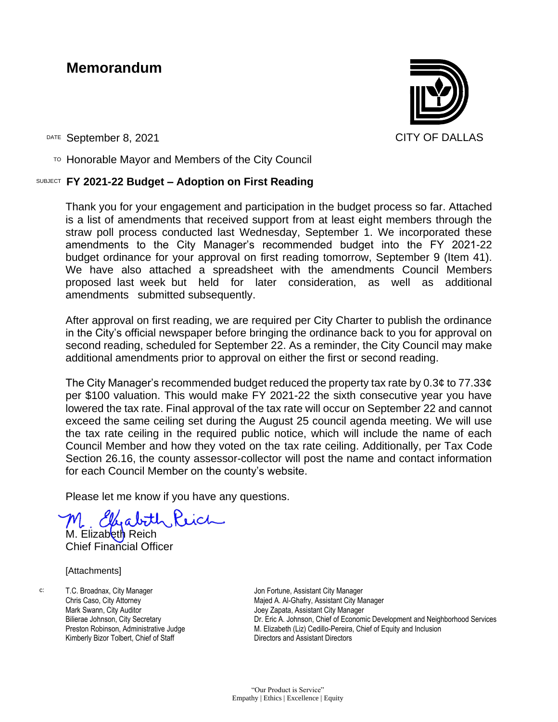# **Memorandum**



DATE September 8, 2021 CITY OF DALLAS

 $T$ <sup>O</sup> Honorable Mayor and Members of the City Council

# SUBJECT **FY 2021-22 Budget – Adoption on First Reading**

Thank you for your engagement and participation in the budget process so far. Attached is a list of amendments that received support from at least eight members through the straw poll process conducted last Wednesday, September 1. We incorporated these amendments to the City Manager's recommended budget into the FY 2021-22 budget ordinance for your approval on first reading tomorrow, September 9 (Item 41). We have also attached a spreadsheet with the amendments Council Members proposed last week but held for later consideration, as well as additional amendments submitted subsequently.

After approval on first reading, we are required per City Charter to publish the ordinance in the City's official newspaper before bringing the ordinance back to you for approval on second reading, scheduled for September 22. As a reminder, the City Council may make additional amendments prior to approval on either the first or second reading.

The City Manager's recommended budget reduced the property tax rate by  $0.3\ell$  to 77.33 $\ell$ per \$100 valuation. This would make FY 2021-22 the sixth consecutive year you have lowered the tax rate. Final approval of the tax rate will occur on September 22 and cannot exceed the same ceiling set during the August 25 council agenda meeting. We will use the tax rate ceiling in the required public notice, which will include the name of each Council Member and how they voted on the tax rate ceiling. Additionally, per Tax Code Section 26.16, the county assessor-collector will post the name and contact information for each Council Member on the county's website.

Please let me know if you have any questions.

M. Elizabeth Reich Chief Financial Officer

[Attachments]

c: T.C. Broadnax, City Manager Chris Caso, City Attorney Mark Swann, City Auditor Bilierae Johnson, City Secretary Preston Robinson, Administrative Judge Kimberly Bizor Tolbert, Chief of Staff

Jon Fortune, Assistant City Manager Majed A. Al-Ghafry, Assistant City Manager Joey Zapata, Assistant City Manager Dr. Eric A. Johnson, Chief of Economic Development and Neighborhood Services M. Elizabeth (Liz) Cedillo-Pereira, Chief of Equity and Inclusion Directors and Assistant Directors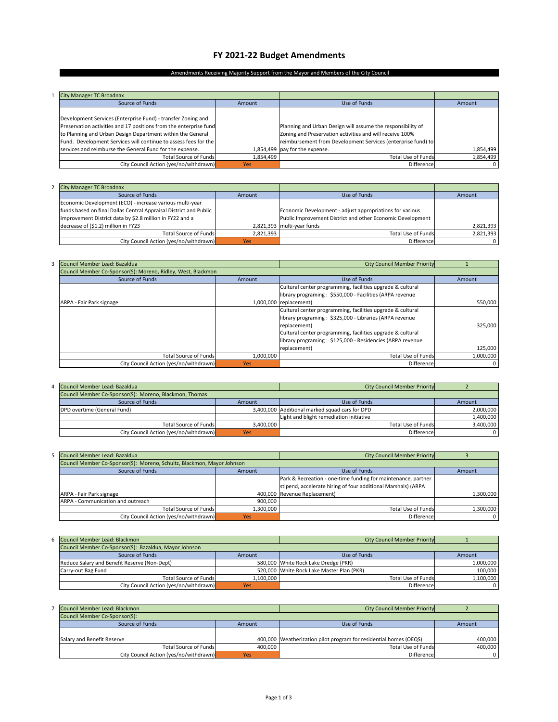## **FY 2021‐22 Budget Amendments**

#### Amendments Receiving Majority Support from the Mayor and Members of the City Council

| <b>City Manager TC Broadnax</b>                                   |            |                                                              |           |
|-------------------------------------------------------------------|------------|--------------------------------------------------------------|-----------|
| Source of Funds                                                   | Amount     | Use of Funds                                                 | Amount    |
|                                                                   |            |                                                              |           |
| Development Services (Enterprise Fund) - transfer Zoning and      |            |                                                              |           |
| Preservation activities and 17 positions from the enterprise fund |            | Planning and Urban Design will assume the responsibility of  |           |
| to Planning and Urban Design Department within the General        |            | Zoning and Preservation activities and will receive 100%     |           |
| Fund. Development Services will continue to assess fees for the   |            | reimbursement from Development Services (enterprise fund) to |           |
| services and reimburse the General Fund for the expense.          |            | 1,854,499 pay for the expense.                               | 1,854,499 |
| <b>Total Source of Funds</b>                                      | 1,854,499  | <b>Total Use of Funds</b>                                    | 1,854,499 |
| City Council Action (yes/no/withdrawn)                            | <b>Yes</b> | Difference                                                   | 0         |

| 2 City Manager TC Broadnax                                        |           |                                                            |           |
|-------------------------------------------------------------------|-----------|------------------------------------------------------------|-----------|
| Source of Funds                                                   | Amount    | Use of Funds                                               | Amount    |
| Economic Development (ECO) - increase various multi-year          |           |                                                            |           |
| funds based on final Dallas Central Appraisal District and Public |           | Economic Development - adjust appropriations for various   |           |
| Improvement District data by \$2.8 million in FY22 and a          |           | Public Improvement District and other Economic Development |           |
| decrease of (\$1.2) million in FY23                               |           | 2,821,393 multi-year funds                                 | 2,821,393 |
| <b>Total Source of Funds</b>                                      | 2,821,393 | <b>Total Use of Funds</b>                                  | 2,821,393 |
| City Council Action (yes/no/withdrawn)                            | Yes       | <b>Difference</b>                                          |           |

| Council Member Lead: Bazaldua                                |            | <b>City Council Member Priority</b>                        |           |
|--------------------------------------------------------------|------------|------------------------------------------------------------|-----------|
| Council Member Co-Sponsor(S): Moreno, Ridley, West, Blackmon |            |                                                            |           |
| Source of Funds                                              | Amount     | Use of Funds                                               | Amount    |
|                                                              |            | Cultural center programming, facilities upgrade & cultural |           |
|                                                              |            | library programing: \$550,000 - Facilities (ARPA revenue   |           |
| ARPA - Fair Park signage                                     |            | 1,000,000 replacement)                                     | 550,000   |
|                                                              |            | Cultural center programming, facilities upgrade & cultural |           |
|                                                              |            | library programing: \$325,000 - Libraries (ARPA revenue    |           |
|                                                              |            | replacement)                                               | 325,000   |
|                                                              |            | Cultural center programming, facilities upgrade & cultural |           |
|                                                              |            | library programing: \$125,000 - Residencies (ARPA revenue  |           |
|                                                              |            | replacement)                                               | 125,000   |
| <b>Total Source of Funds</b>                                 | 1,000,000  | <b>Total Use of Funds</b>                                  | 1,000,000 |
| City Council Action (yes/no/withdrawn)                       | <b>Yes</b> | Difference                                                 | 0         |

| Council Member Lead: Bazaldua                          |           | <b>City Council Member Priority</b>            |           |
|--------------------------------------------------------|-----------|------------------------------------------------|-----------|
| Council Member Co-Sponsor(S): Moreno, Blackmon, Thomas |           |                                                |           |
| Source of Funds                                        | Amount    | Use of Funds                                   | Amount    |
| DPD overtime (General Fund)                            |           | 3,400,000 Additional marked squad cars for DPD | 2.000.000 |
|                                                        |           | Light and blight remediation initiative        | 1.400.000 |
| <b>Total Source of Funds</b>                           | 3.400.000 | <b>Total Use of Funds</b>                      | 3.400.000 |
| City Council Action (yes/no/withdrawn)                 | Yes       | Difference                                     |           |

| Council Member Lead: Bazaldua                                          |           | <b>City Council Member Priority</b>                           |           |
|------------------------------------------------------------------------|-----------|---------------------------------------------------------------|-----------|
| Council Member Co-Sponsor(S): Moreno, Schultz, Blackmon, Mayor Johnson |           |                                                               |           |
| Source of Funds                                                        | Amount    | Use of Funds                                                  | Amount    |
|                                                                        |           | Park & Recreation - one-time funding for maintenance, partner |           |
|                                                                        |           | stipend, accelerate hiring of four additional Marshals) (ARPA |           |
| ARPA - Fair Park signage                                               |           | 400.000 Revenue Replacement)                                  | 1.300.000 |
| ARPA - Communication and outreach                                      | 900.000   |                                                               |           |
| <b>Total Source of Funds</b>                                           | 1,300,000 | <b>Total Use of Funds</b>                                     | 1,300,000 |
| City Council Action (yes/no/withdrawn)                                 | Yes       | Difference                                                    | 0         |

| 6 Council Member Lead: Blackmon                       |           | <b>City Council Member Priority</b>       |           |
|-------------------------------------------------------|-----------|-------------------------------------------|-----------|
| Council Member Co-Sponsor(S): Bazaldua, Mayor Johnson |           |                                           |           |
| Source of Funds                                       | Amount    | Use of Funds                              | Amount    |
| Reduce Salary and Benefit Reserve (Non-Dept)          |           | 580,000 White Rock Lake Dredge (PKR)      | 1.000.000 |
| Carry-out Bag Fund                                    |           | 520.000 White Rock Lake Master Plan (PKR) | 100.000   |
| <b>Total Source of Funds</b>                          | 1.100.000 | <b>Total Use of Funds</b>                 | 1,100,000 |
| City Council Action (yes/no/withdrawn)                | Yes       | Difference                                |           |

| Council Member Lead: Blackmon          |         | <b>City Council Member Priority</b>                               |         |
|----------------------------------------|---------|-------------------------------------------------------------------|---------|
| Council Member Co-Sponsor(S):          |         |                                                                   |         |
| Source of Funds                        | Amount  | Use of Funds                                                      | Amount  |
|                                        |         |                                                                   |         |
| Salary and Benefit Reserve             |         | 400,000 Weatherization pilot program for residential homes (OEQS) | 400.000 |
| <b>Total Source of Funds</b>           | 400.000 | Total Use of Funds                                                | 400.000 |
| City Council Action (yes/no/withdrawn) | Yes     | Difference                                                        |         |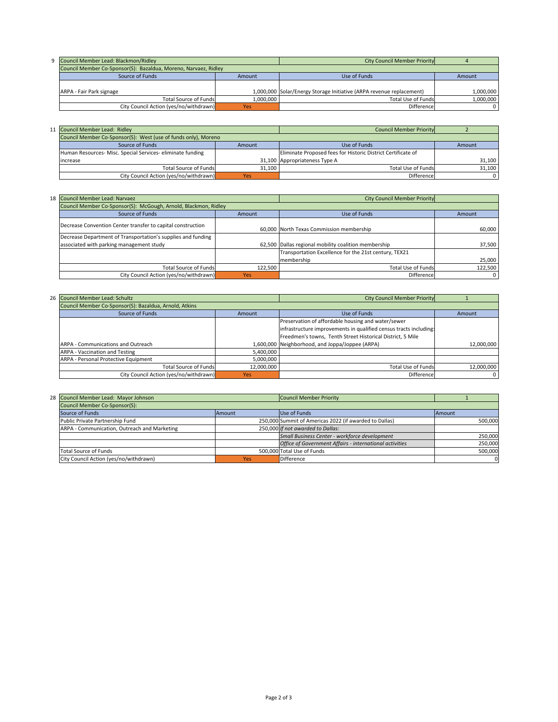| 9 Council Member Lead: Blackmon/Ridley                          |           | <b>City Council Member Priority</b>                                  |           |
|-----------------------------------------------------------------|-----------|----------------------------------------------------------------------|-----------|
| Council Member Co-Sponsor(S): Bazaldua, Moreno, Narvaez, Ridley |           |                                                                      |           |
| Source of Funds                                                 | Amount    | Use of Funds                                                         | Amount    |
|                                                                 |           |                                                                      |           |
| ARPA - Fair Park signage                                        |           | 1,000,000 Solar/Energy Storage Initiative (ARPA revenue replacement) | 1.000.000 |
| Total Source of Funds                                           | 1.000.000 | <b>Total Use of Funds</b>                                            | 1.000.000 |
| City Council Action (yes/no/withdrawn)                          | Yes       | Difference                                                           | 0         |

| 11 Council Member Lead: Ridley                                 |        | <b>Council Member Priority</b>                               |        |
|----------------------------------------------------------------|--------|--------------------------------------------------------------|--------|
| Council Member Co-Sponsor(S): West (use of funds only), Moreno |        |                                                              |        |
| Source of Funds                                                | Amount | Use of Funds                                                 | Amount |
| Human Resources- Misc. Special Services- eliminate funding     |        | Eliminate Proposed fees for Historic District Certificate of |        |
| increase                                                       |        | 31,100 Appropriateness Type A                                | 31,100 |
| <b>Total Source of Funds</b>                                   | 31.100 | <b>Total Use of Funds</b>                                    | 31.100 |
| City Council Action (yes/no/withdrawn)                         | Yes    | Difference                                                   |        |

| 18 Council Member Lead: Narvaez                                 |         | <b>City Council Member Priority</b>                   |         |
|-----------------------------------------------------------------|---------|-------------------------------------------------------|---------|
| Council Member Co-Sponsor(S): McGough, Arnold, Blackmon, Ridley |         |                                                       |         |
| Source of Funds                                                 | Amount  | Use of Funds                                          | Amount  |
| Decrease Convention Center transfer to capital construction     |         | 60,000 North Texas Commission membership              | 60,000  |
| Decrease Department of Transportation's supplies and funding    |         |                                                       |         |
| associated with parking management study                        |         | 62,500 Dallas regional mobility coalition membership  | 37,500  |
|                                                                 |         | Transportation Excellence for the 21st century, TEX21 |         |
|                                                                 |         | membership                                            | 25,000  |
| <b>Total Source of Funds</b>                                    | 122,500 | <b>Total Use of Funds</b>                             | 122,500 |
| City Council Action (yes/no/withdrawn)                          | Yes     | Difference                                            | 0       |

| 26 Council Member Lead: Schultz                        |            | <b>City Council Member Priority</b>                               |            |
|--------------------------------------------------------|------------|-------------------------------------------------------------------|------------|
| Council Member Co-Sponsor(S): Bazaldua, Arnold, Atkins |            |                                                                   |            |
| Source of Funds                                        | Amount     | Use of Funds                                                      | Amount     |
|                                                        |            | Preservation of affordable housing and water/sewer                |            |
|                                                        |            | infrastructure improvements in qualified census tracts including: |            |
|                                                        |            | Freedmen's towns, Tenth Street Historical District, 5 Mile        |            |
| ARPA - Communications and Outreach                     |            | 1,600,000 Neighborhood, and Joppa/Joppee (ARPA)                   | 12.000.000 |
| ARPA - Vaccination and Testing                         | 5,400,000  |                                                                   |            |
| ARPA - Personal Protective Equipment                   | 5,000,000  |                                                                   |            |
| <b>Total Source of Funds</b>                           | 12,000,000 | <b>Total Use of Funds</b>                                         | 12.000.000 |
| City Council Action (yes/no/withdrawn)                 | <b>Yes</b> | Difference                                                        | 0          |

| 28 Council Member Lead: Mayor Johnson        |        | <b>Council Member Priority</b>                          |          |
|----------------------------------------------|--------|---------------------------------------------------------|----------|
| Council Member Co-Sponsor(S):                |        |                                                         |          |
| Source of Funds                              | Amount | Use of Funds                                            | Amount   |
| Public Private Partnership Fund              |        | 250,000 Summit of Americas 2022 (if awarded to Dallas)  | 500.000  |
| ARPA - Communication, Outreach and Marketing |        | 250,000 If not awarded to Dallas:                       |          |
|                                              |        | Small Business Center - workforce development           | 250.000  |
|                                              |        | Office of Government Affairs - international activities | 250,000  |
| Total Source of Funds                        |        | 500.000 Total Use of Funds                              | 500.000  |
| City Council Action (yes/no/withdrawn)       | Yes    | <b>Difference</b>                                       | $\Omega$ |